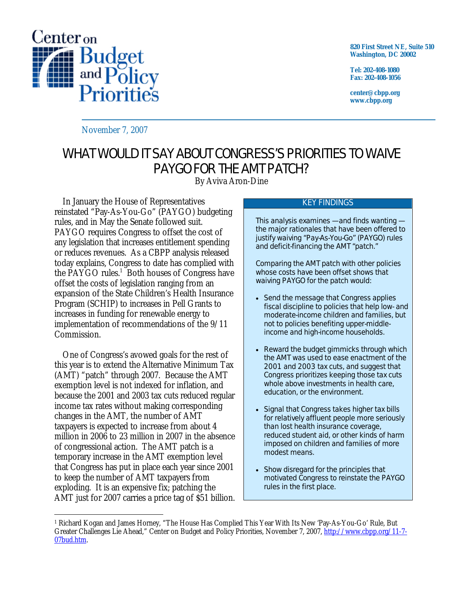

**820 First Street NE, Suite 510 Washington, DC 20002** 

**Tel: 202-408-1080 Fax: 202-408-1056** 

**center@cbpp.org www.cbpp.org** 

November 7, 2007

# WHAT WOULD IT SAY ABOUT CONGRESS'S PRIORITIES TO WAIVE PAYGO FOR THE AMT PATCH?

By Aviva Aron-Dine

 In January the House of Representatives reinstated "Pay-As-You-Go" (PAYGO) budgeting rules, and in May the Senate followed suit. PAYGO requires Congress to offset the cost of any legislation that increases entitlement spending or reduces revenues. As a CBPP analysis released today explains, Congress to date has complied with the PAYGO rules.<sup>1</sup> Both houses of Congress have offset the costs of legislation ranging from an expansion of the State Children's Health Insurance Program (SCHIP) to increases in Pell Grants to increases in funding for renewable energy to implementation of recommendations of the 9/11 Commission.

One of Congress's avowed goals for the rest of this year is to extend the Alternative Minimum Tax (AMT) "patch" through 2007. Because the AMT exemption level is not indexed for inflation, and because the 2001 and 2003 tax cuts reduced regular income tax rates without making corresponding changes in the AMT, the number of AMT taxpayers is expected to increase from about 4 million in 2006 to 23 million in 2007 in the absence of congressional action. The AMT patch is a temporary increase in the AMT exemption level that Congress has put in place each year since 2001 to keep the number of AMT taxpayers from exploding. It is an expensive fix; patching the AMT just for 2007 carries a price tag of \$51 billion.

#### KEY FINDINGS

This analysis examines — and finds wanting the major rationales that have been offered to justify waiving "Pay-As-You-Go" (PAYGO) rules and deficit-financing the AMT "patch."

Comparing the AMT patch with other policies whose costs have been offset shows that waiving PAYGO for the patch would:

- Send the message that Congress applies fiscal discipline to policies that help low- and moderate-income children and families, but not to policies benefiting upper-middleincome and high-income households.
- Reward the budget gimmicks through which the AMT was used to ease enactment of the 2001 and 2003 tax cuts, and suggest that Congress prioritizes keeping those tax cuts whole above investments in health care, education, or the environment.
- Signal that Congress takes higher tax bills for relatively affluent people more seriously than lost health insurance coverage, reduced student aid, or other kinds of harm imposed on children and families of more modest means.
- Show disregard for the principles that motivated Congress to reinstate the PAYGO rules in the first place.

 $\overline{a}$ 1 Richard Kogan and James Horney, "The House Has Complied This Year With Its New 'Pay-As-You-Go' Rule, But Greater Challenges Lie Ahead," Center on Budget and Policy Priorities, November 7, 2007, http://www.cbpp.org/11-7- 07bud.htm.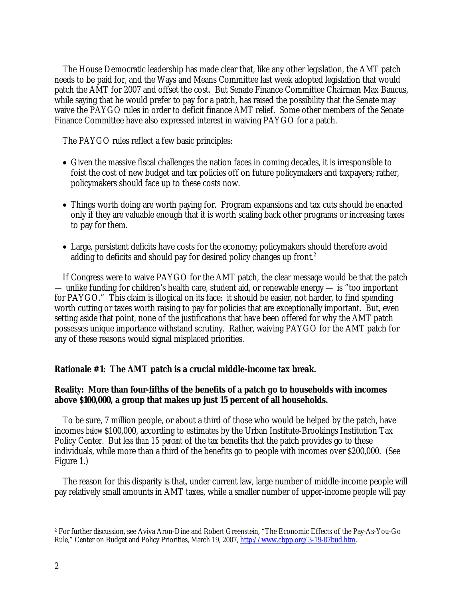The House Democratic leadership has made clear that, like any other legislation, the AMT patch needs to be paid for, and the Ways and Means Committee last week adopted legislation that would patch the AMT for 2007 and offset the cost. But Senate Finance Committee Chairman Max Baucus, while saying that he would prefer to pay for a patch, has raised the possibility that the Senate may waive the PAYGO rules in order to deficit finance AMT relief. Some other members of the Senate Finance Committee have also expressed interest in waiving PAYGO for a patch.

The PAYGO rules reflect a few basic principles:

- Given the massive fiscal challenges the nation faces in coming decades, it is irresponsible to foist the cost of new budget and tax policies off on future policymakers and taxpayers; rather, policymakers should face up to these costs now.
- Things worth doing are worth paying for. Program expansions and tax cuts should be enacted only if they are valuable enough that it is worth scaling back other programs or increasing taxes to pay for them.
- Large, persistent deficits have costs for the economy; policymakers should therefore avoid adding to deficits and should pay for desired policy changes up front.<sup>2</sup>

 If Congress were to waive PAYGO for the AMT patch, the clear message would be that the patch — unlike funding for children's health care, student aid, or renewable energy — is "too important for PAYGO." This claim is illogical on its face: it should be easier, not harder, to find spending worth cutting or taxes worth raising to pay for policies that are exceptionally important. But, even setting aside that point, none of the justifications that have been offered for why the AMT patch possesses unique importance withstand scrutiny. Rather, waiving PAYGO for the AMT patch for any of these reasons would signal misplaced priorities.

### **Rationale #1: The AMT patch is a crucial middle-income tax break.**

### **Reality: More than four-fifths of the benefits of a patch go to households with incomes above \$100,000, a group that makes up just 15 percent of all households.**

 To be sure, 7 million people, or about a third of those who would be helped by the patch, have incomes *below* \$100,000, according to estimates by the Urban Institute-Brookings Institution Tax Policy Center. But *less than 15 percent* of the tax benefits that the patch provides go to these individuals, while more than a third of the benefits go to people with incomes over \$200,000. (See Figure 1.)

 The reason for this disparity is that, under current law, large number of middle-income people will pay relatively small amounts in AMT taxes, while a smaller number of upper-income people will pay

 $\overline{a}$ 

<sup>2</sup> For further discussion, see Aviva Aron-Dine and Robert Greenstein, "The Economic Effects of the Pay-As-You-Go Rule," Center on Budget and Policy Priorities, March 19, 2007, http://www.cbpp.org/3-19-07bud.htm.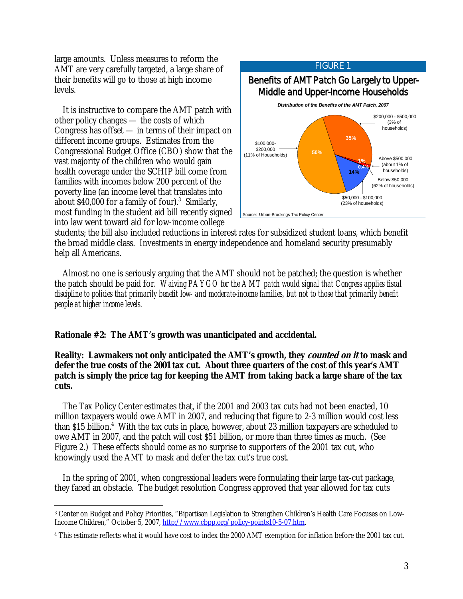large amounts. Unless measures to reform the AMT are very carefully targeted, a large share of their benefits will go to those at high income levels.

 It is instructive to compare the AMT patch with other policy changes — the costs of which Congress has offset — in terms of their impact on different income groups. Estimates from the Congressional Budget Office (CBO) show that the vast majority of the children who would gain health coverage under the SCHIP bill come from families with incomes below 200 percent of the poverty line (an income level that translates into about  $$40,000$  for a family of four).<sup>3</sup> Similarly, most funding in the student aid bill recently signed into law went toward aid for low-income college

-



students; the bill also included reductions in interest rates for subsidized student loans, which benefit the broad middle class. Investments in energy independence and homeland security presumably help all Americans.

 Almost no one is seriously arguing that the AMT should not be patched; the question is whether the patch should be paid for. *Waiving PAYGO for the AMT patch would signal that Congress applies fiscal discipline to policies that primarily benefit low- and moderate-income families, but not to those that primarily benefit people at higher income levels.* 

#### **Rationale #2: The AMT's growth was unanticipated and accidental.**

# **Reality: Lawmakers not only anticipated the AMT's growth, they counted on it to mask and defer the true costs of the 2001 tax cut. About three quarters of the cost of this year's AMT patch is simply the price tag for keeping the AMT from taking back a large share of the tax cuts.**

 The Tax Policy Center estimates that, if the 2001 and 2003 tax cuts had not been enacted, 10 million taxpayers would owe AMT in 2007, and reducing that figure to 2-3 million would cost less than \$15 billion.<sup>4</sup> With the tax cuts in place, however, about 23 million taxpayers are scheduled to owe AMT in 2007, and the patch will cost \$51 billion, or more than three times as much. (See Figure 2.) These effects should come as no surprise to supporters of the 2001 tax cut, who knowingly used the AMT to mask and defer the tax cut's true cost.

 In the spring of 2001, when congressional leaders were formulating their large tax-cut package, they faced an obstacle. The budget resolution Congress approved that year allowed for tax cuts

<sup>3</sup> Center on Budget and Policy Priorities, "Bipartisan Legislation to Strengthen Children's Health Care Focuses on Low-Income Children," October 5, 2007, http://www.cbpp.org/policy-points10-5-07.htm.

<sup>4</sup> This estimate reflects what it would have cost to index the 2000 AMT exemption for inflation before the 2001 tax cut.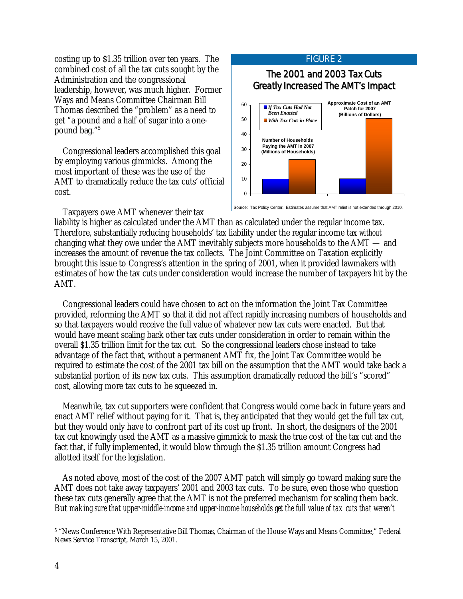costing up to \$1.35 trillion over ten years. The combined cost of all the tax cuts sought by the Administration and the congressional leadership, however, was much higher. Former Ways and Means Committee Chairman Bill Thomas described the "problem" as a need to get "a pound and a half of sugar into a onepound bag."5

 Congressional leaders accomplished this goal by employing various gimmicks. Among the most important of these was the use of the AMT to dramatically reduce the tax cuts' official cost.



Taxpayers owe AMT whenever their tax

liability is higher as calculated under the AMT than as calculated under the regular income tax. Therefore, substantially reducing households' tax liability under the regular income tax *without*  changing what they owe under the AMT inevitably subjects more households to the AMT — and increases the amount of revenue the tax collects. The Joint Committee on Taxation explicitly brought this issue to Congress's attention in the spring of 2001, when it provided lawmakers with estimates of how the tax cuts under consideration would increase the number of taxpayers hit by the AMT.

 Congressional leaders could have chosen to act on the information the Joint Tax Committee provided, reforming the AMT so that it did not affect rapidly increasing numbers of households and so that taxpayers would receive the full value of whatever new tax cuts were enacted. But that would have meant scaling back other tax cuts under consideration in order to remain within the overall \$1.35 trillion limit for the tax cut. So the congressional leaders chose instead to take advantage of the fact that, without a permanent AMT fix, the Joint Tax Committee would be required to estimate the cost of the 2001 tax bill on the assumption that the AMT would take back a substantial portion of its new tax cuts. This assumption dramatically reduced the bill's "scored" cost, allowing more tax cuts to be squeezed in.

 Meanwhile, tax cut supporters were confident that Congress would come back in future years and enact AMT relief without paying for it. That is, they anticipated that they would get the full tax cut, but they would only have to confront part of its cost up front. In short, the designers of the 2001 tax cut knowingly used the AMT as a massive gimmick to mask the true cost of the tax cut and the fact that, if fully implemented, it would blow through the \$1.35 trillion amount Congress had allotted itself for the legislation.

 As noted above, most of the cost of the 2007 AMT patch will simply go toward making sure the AMT does not take away taxpayers' 2001 and 2003 tax cuts. To be sure, even those who question these tax cuts generally agree that the AMT is not the preferred mechanism for scaling them back. But *making sure that upper-middle-income and upper-income households get the full value of tax cuts that weren't* 

 $\overline{a}$ 5 "News Conference With Representative Bill Thomas, Chairman of the House Ways and Means Committee," Federal News Service Transcript, March 15, 2001.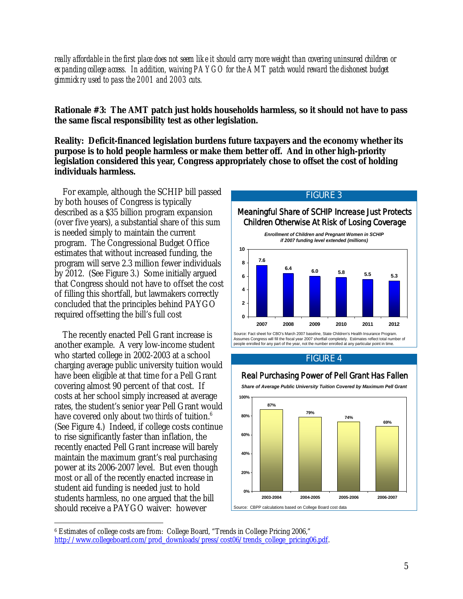*really affordable in the first place does not seem like it should carry more weight than covering uninsured children or expanding college access. In addition, waiving PAYGO for the AMT patch would reward the dishonest budget gimmickry used to pass the 2001 and 2003 cuts.* 

**Rationale #3: The AMT patch just holds households harmless, so it should not have to pass the same fiscal responsibility test as other legislation.** 

**Reality: Deficit-financed legislation burdens future taxpayers and the economy whether its purpose is to hold people harmless or make them better off. And in other high-priority legislation considered this year, Congress appropriately chose to offset the cost of holding individuals harmless.** 

For example, although the SCHIP bill passed by both houses of Congress is typically described as a \$35 billion program expansion (over five years), a substantial share of this sum is needed simply to maintain the current program. The Congressional Budget Office estimates that without increased funding, the program will serve 2.3 million fewer individuals by 2012. (See Figure 3.) Some initially argued that Congress should not have to offset the cost of filling this shortfall, but lawmakers correctly concluded that the principles behind PAYGO required offsetting the bill's full cost

 The recently enacted Pell Grant increase is another example. A very low-income student who started college in 2002-2003 at a school charging average public university tuition would have been eligible at that time for a Pell Grant covering almost 90 percent of that cost. If costs at her school simply increased at average rates, the student's senior year Pell Grant would have covered only about *two thirds* of tuition.6 (See Figure 4.) Indeed, if college costs continue to rise significantly faster than inflation, the recently enacted Pell Grant increase will barely maintain the maximum grant's real purchasing power at its 2006-2007 level. But even though most or all of the recently enacted increase in student aid funding is needed just to hold students harmless, no one argued that the bill should receive a PAYGO waiver: however





Source: Fact sheet for CBO's March 2007 baseline, State Children's Health Insurance Program. Assumes Congress will fill the fiscal year 2007 shortfall completely. Estimates reflect total number of people enrolled for any part of the year, not the number enrolled at any particular point in time.

#### FIGURE 4

#### Real Purchasing Power of Pell Grant Has Fallen



*Share of Average Public University Tuition Covered by Maximum Pell Grant*

 $\overline{a}$ 6 Estimates of college costs are from: College Board, "Trends in College Pricing 2006," http://www.collegeboard.com/prod\_downloads/press/cost06/trends\_college\_pricing06.pdf.